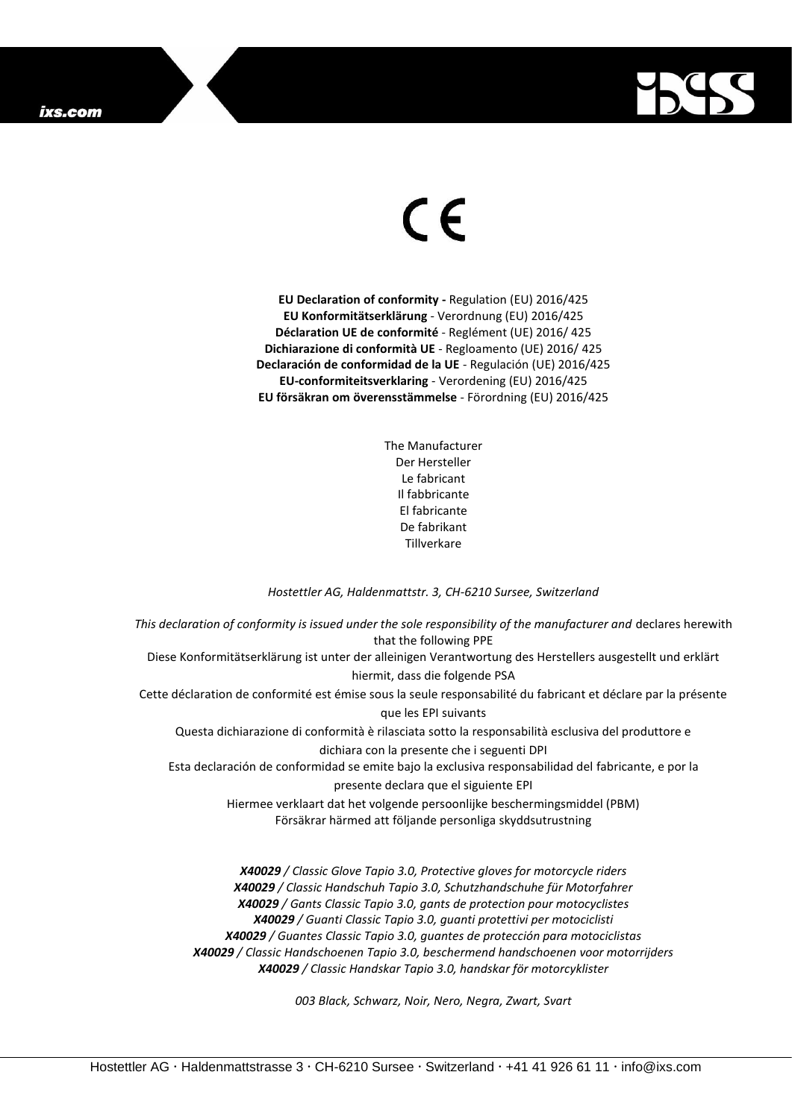

## $\epsilon$

**EU Declaration of conformity -** Regulation (EU) 2016/425 **EU Konformitätserklärung** - Verordnung (EU) 2016/425 **Déclaration UE de conformité** - Reglément (UE) 2016/ 425 **Dichiarazione di conformità UE** - Regloamento (UE) 2016/ 425 **Declaración de conformidad de la UE** - Regulación (UE) 2016/425 **EU-conformiteitsverklaring** - Verordening (EU) 2016/425 **EU försäkran om överensstämmelse** - Förordning (EU) 2016/425

> The Manufacturer Der Hersteller Le fabricant Il fabbricante El fabricante De fabrikant Tillverkare

*Hostettler AG, Haldenmattstr. 3, CH-6210 Sursee, Switzerland*

*This declaration of conformity is issued under the sole responsibility of the manufacturer and* declares herewith that the following PPE Diese Konformitätserklärung ist unter der alleinigen Verantwortung des Herstellers ausgestellt und erklärt hiermit, dass die folgende PSA Cette déclaration de conformité est émise sous la seule responsabilité du fabricant et déclare par la présente que les EPI suivants Questa dichiarazione di conformità è rilasciata sotto la responsabilità esclusiva del produttore e dichiara con la presente che i seguenti DPI Esta declaración de conformidad se emite bajo la exclusiva responsabilidad del fabricante, e por la presente declara que el siguiente EPI Hiermee verklaart dat het volgende persoonlijke beschermingsmiddel (PBM) Försäkrar härmed att följande personliga skyddsutrustning

*X40029 / Classic Glove Tapio 3.0, Protective gloves for motorcycle riders X40029 / Classic Handschuh Tapio 3.0, Schutzhandschuhe für Motorfahrer X40029 / Gants Classic Tapio 3.0, gants de protection pour motocyclistes X40029 / Guanti Classic Tapio 3.0, guanti protettivi per motociclisti X40029 / Guantes Classic Tapio 3.0, guantes de protección para motociclistas X40029 / Classic Handschoenen Tapio 3.0, beschermend handschoenen voor motorrijders X40029 / Classic Handskar Tapio 3.0, handskar för motorcyklister*

*003 Black, Schwarz, Noir, Nero, Negra, Zwart, Svart*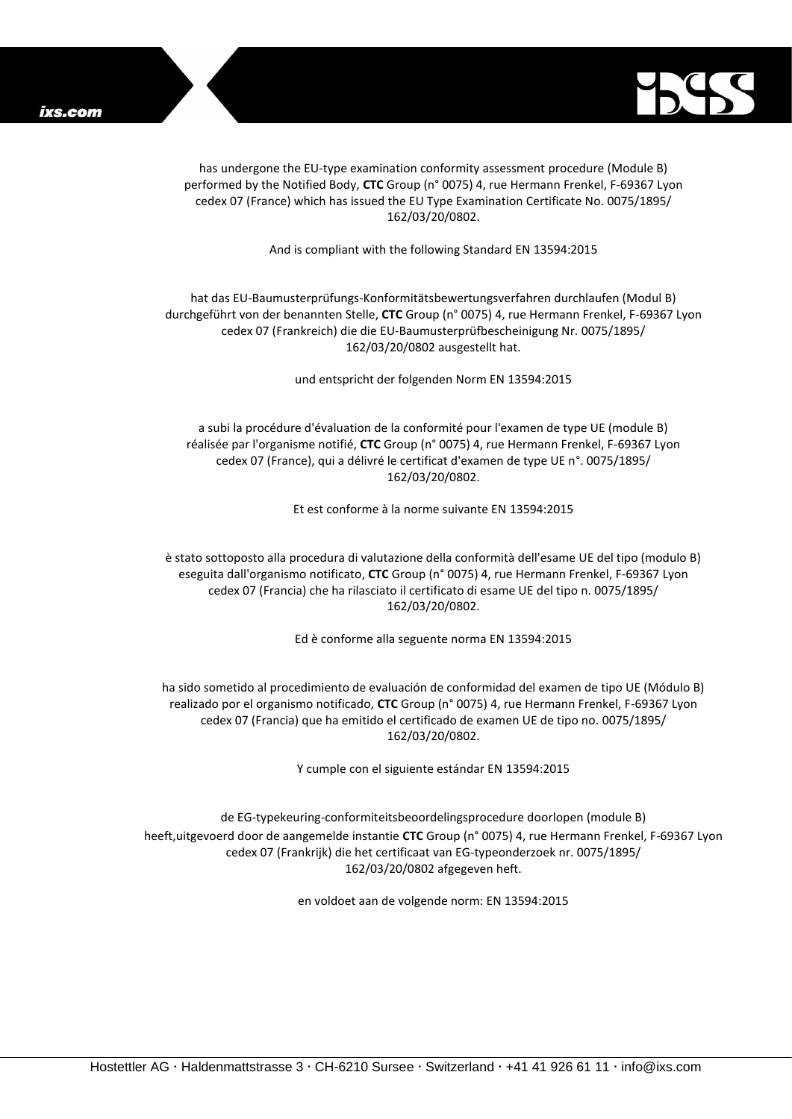

has undergone the EU-type examination conformity assessment procedure (Module B) performed by the Notified Body, **CTC** Group (n° 0075) 4, rue Hermann Frenkel, F-69367 Lyon cedex 07 (France) which has issued the EU Type Examination Certificate No. 0075/1895/ 162/03/20/0802.

And is compliant with the following Standard EN 13594:2015

## hat das EU-Baumusterprüfungs-Konformitätsbewertungsverfahren durchlaufen (Modul B) durchgeführt von der benannten Stelle, **CTC** Group (n° 0075) 4, rue Hermann Frenkel, F-69367 Lyon cedex 07 (Frankreich) die die EU-Baumusterprüfbescheinigung Nr. 0075/1895/ 162/03/20/0802 ausgestellt hat.

und entspricht der folgenden Norm EN 13594:2015

a subi la procédure d'évaluation de la conformité pour l'examen de type UE (module B) réalisée par l'organisme notifié, **CTC** Group (n° 0075) 4, rue Hermann Frenkel, F-69367 Lyon cedex 07 (France), qui a délivré le certificat d'examen de type UE n°. 0075/1895/ 162/03/20/0802.

Et est conforme à la norme suivante EN 13594:2015

è stato sottoposto alla procedura di valutazione della conformità dell'esame UE del tipo (modulo B) eseguita dall'organismo notificato, **CTC** Group (n° 0075) 4, rue Hermann Frenkel, F-69367 Lyon cedex 07 (Francia) che ha rilasciato il certificato di esame UE del tipo n. 0075/1895/ 162/03/20/0802.

Ed è conforme alla seguente norma EN 13594:2015

ha sido sometido al procedimiento de evaluación de conformidad del examen de tipo UE (Módulo B) realizado por el organismo notificado, **CTC** Group (n° 0075) 4, rue Hermann Frenkel, F-69367 Lyon cedex 07 (Francia) que ha emitido el certificado de examen UE de tipo no. 0075/1895/ 162/03/20/0802.

Y cumple con el siguiente estándar EN 13594:2015

de EG-typekeuring-conformiteitsbeoordelingsprocedure doorlopen (module B) heeft,uitgevoerd door de aangemelde instantie **CTC** Group (n° 0075) 4, rue Hermann Frenkel, F-69367 Lyon cedex 07 (Frankrijk) die het certificaat van EG-typeonderzoek nr. 0075/1895/ 162/03/20/0802 afgegeven heft.

en voldoet aan de volgende norm: EN 13594:2015